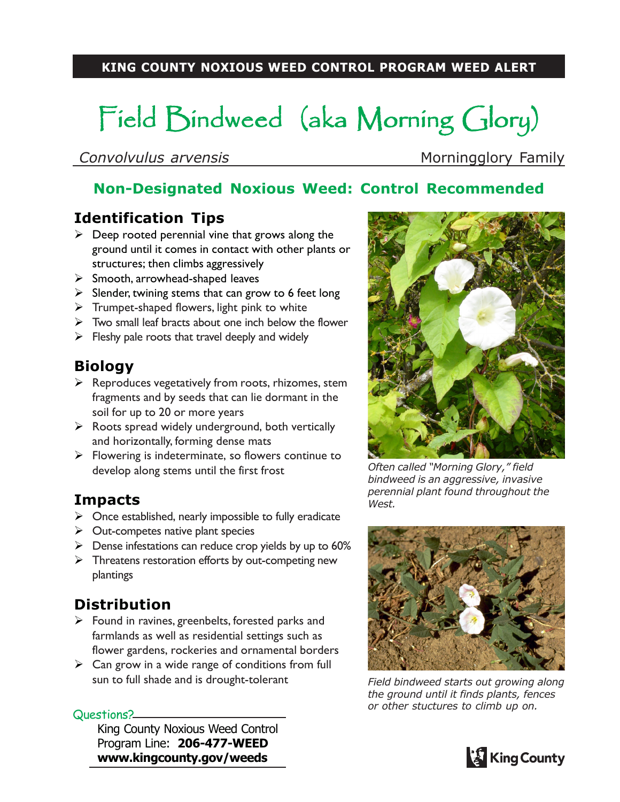#### **KING COUNTY NOXIOUS WEED CONTROL PROGRAM WEED ALERT**

# Field Bindweed (aka Morning Glory)

**Convolvulus arvensis Morningglory Family** 

## **Non-Designated Noxious Weed: Control Recommended**

### **Identification Tips**

- $\triangleright$  Deep rooted perennial vine that grows along the ground until it comes in contact with other plants or structures; then climbs aggressively
- $\triangleright$  Smooth, arrowhead-shaped leaves
- $\triangleright$  Slender, twining stems that can grow to 6 feet long
- $\triangleright$  Trumpet-shaped flowers, light pink to white
- $\triangleright$  Two small leaf bracts about one inch below the flower
- $\triangleright$  Fleshy pale roots that travel deeply and widely

## **Biology**

- $\triangleright$  Reproduces vegetatively from roots, rhizomes, stem fragments and by seeds that can lie dormant in the soil for up to 20 or more years
- $\triangleright$  Roots spread widely underground, both vertically and horizontally, forming dense mats
- $\triangleright$  Flowering is indeterminate, so flowers continue to develop along stems until the first frost

#### **Impacts**

- $\triangleright$  Once established, nearly impossible to fully eradicate
- $\triangleright$  Out-competes native plant species
- $\triangleright$  Dense infestations can reduce crop yields by up to 60%
- $\triangleright$  Threatens restoration efforts by out-competing new plantings

## **Distribution**

- $\triangleright$  Found in ravines, greenbelts, forested parks and farmlands as well as residential settings such as flower gardens, rockeries and ornamental borders
- $\triangleright$  Can grow in a wide range of conditions from full sun to full shade and is drought-tolerant

#### Questions?

King County Noxious Weed Control Program Line: **206-477-WEED www.kingcounty.gov/weeds**



*Often called "Morning Glory," field bindweed is an aggressive, invasive perennial plant found throughout the West.*



*Field bindweed starts out growing along the ground until it finds plants, fences or other stuctures to climb up on.*